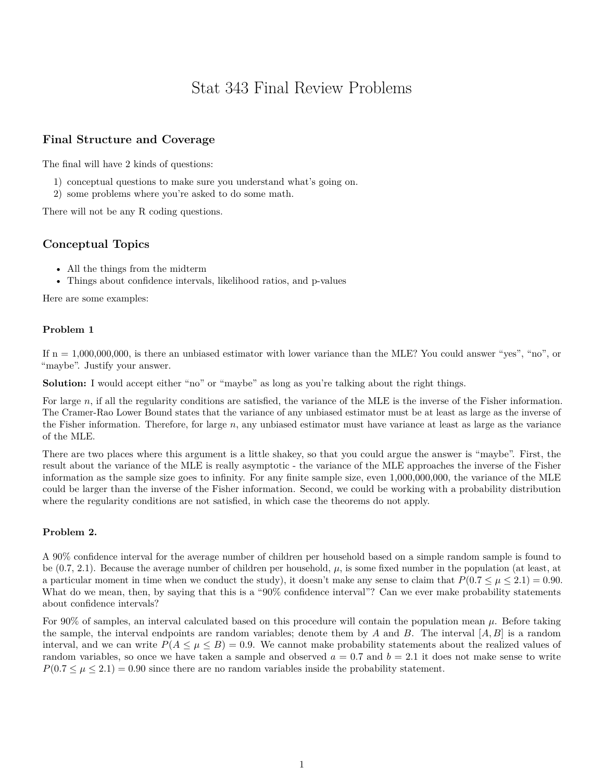# Stat 343 Final Review Problems

# **Final Structure and Coverage**

The final will have 2 kinds of questions:

- 1) conceptual questions to make sure you understand what's going on.
- 2) some problems where you're asked to do some math.

There will not be any R coding questions.

# **Conceptual Topics**

- All the things from the midterm
- Things about confidence intervals, likelihood ratios, and p-values

Here are some examples:

### **Problem 1**

If  $n = 1,000,000,000$ , is there an unbiased estimator with lower variance than the MLE? You could answer "yes", "no", or "maybe". Justify your answer.

**Solution:** I would accept either "no" or "maybe" as long as you're talking about the right things.

For large *n*, if all the regularity conditions are satisfied, the variance of the MLE is the inverse of the Fisher information. The Cramer-Rao Lower Bound states that the variance of any unbiased estimator must be at least as large as the inverse of the Fisher information. Therefore, for large *n*, any unbiased estimator must have variance at least as large as the variance of the MLE.

There are two places where this argument is a little shakey, so that you could argue the answer is "maybe". First, the result about the variance of the MLE is really asymptotic - the variance of the MLE approaches the inverse of the Fisher information as the sample size goes to infinity. For any finite sample size, even 1,000,000,000, the variance of the MLE could be larger than the inverse of the Fisher information. Second, we could be working with a probability distribution where the regularity conditions are not satisfied, in which case the theorems do not apply.

### **Problem 2.**

A 90% confidence interval for the average number of children per household based on a simple random sample is found to be (0.7, 2.1). Because the average number of children per household, *µ*, is some fixed number in the population (at least, at a particular moment in time when we conduct the study), it doesn't make any sense to claim that  $P(0.7 \leq \mu \leq 2.1) = 0.90$ . What do we mean, then, by saying that this is a "90% confidence interval"? Can we ever make probability statements about confidence intervals?

For 90% of samples, an interval calculated based on this procedure will contain the population mean *µ*. Before taking the sample, the interval endpoints are random variables; denote them by *A* and *B*. The interval [*A, B*] is a random interval, and we can write  $P(A \leq \mu \leq B) = 0.9$ . We cannot make probability statements about the realized values of random variables, so once we have taken a sample and observed  $a = 0.7$  and  $b = 2.1$  it does not make sense to write  $P(0.7 \leq \mu \leq 2.1) = 0.90$  since there are no random variables inside the probability statement.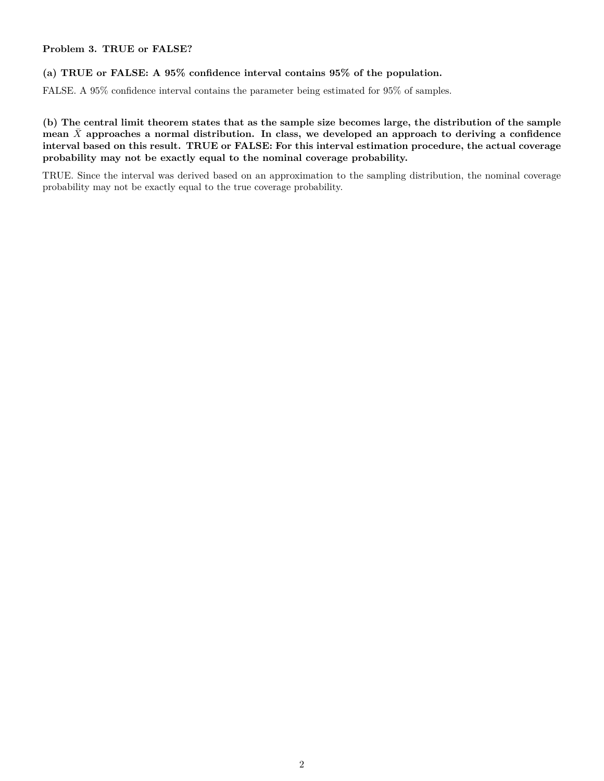### **Problem 3. TRUE or FALSE?**

### **(a) TRUE or FALSE: A 95% confidence interval contains 95% of the population.**

FALSE. A 95% confidence interval contains the parameter being estimated for 95% of samples.

**(b) The central limit theorem states that as the sample size becomes large, the distribution of the sample** mean  $\bar{X}$  approaches a normal distribution. In class, we developed an approach to deriving a confidence **interval based on this result. TRUE or FALSE: For this interval estimation procedure, the actual coverage probability may not be exactly equal to the nominal coverage probability.**

TRUE. Since the interval was derived based on an approximation to the sampling distribution, the nominal coverage probability may not be exactly equal to the true coverage probability.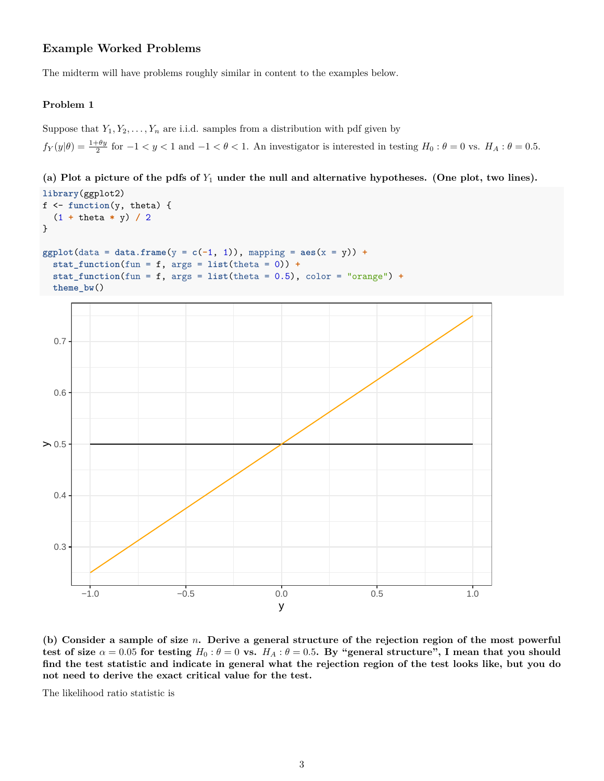# **Example Worked Problems**

The midterm will have problems roughly similar in content to the examples below.

### **Problem 1**

Suppose that  $Y_1, Y_2, \ldots, Y_n$  are i.i.d. samples from a distribution with pdf given by

 $f_Y(y|\theta) = \frac{1+\theta y}{2}$  for  $-1 < y < 1$  and  $-1 < \theta < 1$ . An investigator is interested in testing  $H_0: \theta = 0$  vs.  $H_A: \theta = 0.5$ .

**(a) Plot a picture of the pdfs of** *Y*<sup>1</sup> **under the null and alternative hypotheses. (One plot, two lines). library**(ggplot2)

```
f <- function(y, theta) {
 (1 + theta * y) / 2
}
ggplot(data = data.frame(y = c(-1, 1)), mapping = aes(x = y)) +
 stat_function(fun = f, args = list(theta = 0)) +stat_function(fun = f, args = list(theta = 0.5), color = "orange") +
 theme_bw()
 0.3
 0.4
> 0.50.6
 0.7
      −1.0 −0.5 0.0 0.5 1.0
                                       y
```
**(b) Consider a sample of size** *n***. Derive a general structure of the rejection region of the most powerful test of size**  $\alpha = 0.05$  for testing  $H_0: \theta = 0$  vs.  $H_A: \theta = 0.5$ . By "general structure", I mean that you should **find the test statistic and indicate in general what the rejection region of the test looks like, but you do not need to derive the exact critical value for the test.**

The likelihood ratio statistic is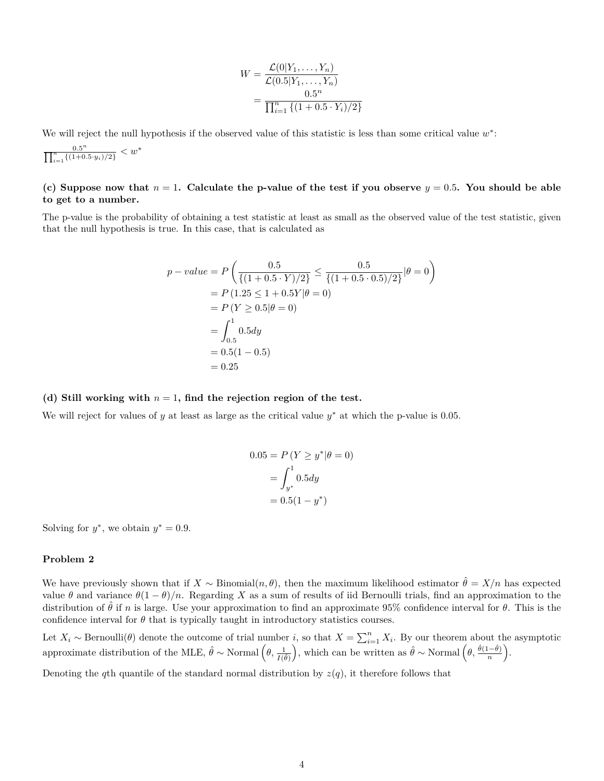$$
W = \frac{\mathcal{L}(0|Y_1, \dots, Y_n)}{\mathcal{L}(0.5|Y_1, \dots, Y_n)} = \frac{0.5^n}{\prod_{i=1}^n \{(1+0.5 \cdot Y_i)/2\}}
$$

We will reject the null hypothesis if the observed value of this statistic is less than some critical value  $w^*$ :

$$
\frac{0.5^n}{\prod_{i=1}^n \{(1+0.5 \cdot y_i)/2\}} < w^*
$$

### **(c) Suppose now that** *n* = 1**. Calculate the p-value of the test if you observe** *y* = 0*.*5**. You should be able to get to a number.**

The p-value is the probability of obtaining a test statistic at least as small as the observed value of the test statistic, given that the null hypothesis is true. In this case, that is calculated as

$$
p-value = P\left(\frac{0.5}{\{(1+0.5 \cdot Y)/2\}} \le \frac{0.5}{\{(1+0.5 \cdot 0.5)/2\}} | \theta = 0\right)
$$
  
=  $P(1.25 \le 1 + 0.5Y | \theta = 0)$   
=  $P(Y \ge 0.5 | \theta = 0)$   
=  $\int_{0.5}^{1} 0.5 dy$   
=  $0.5(1 - 0.5)$   
=  $0.25$ 

#### **(d) Still working with** *n* = 1**, find the rejection region of the test.**

We will reject for values of  $y$  at least as large as the critical value  $y^*$  at which the p-value is 0.05.

$$
0.05 = P(Y \ge y^* | \theta = 0)
$$

$$
= \int_{y^*}^{1} 0.5 dy
$$

$$
= 0.5(1 - y^*)
$$

Solving for  $y^*$ , we obtain  $y^* = 0.9$ .

#### **Problem 2**

We have previously shown that if  $X \sim \text{Binomial}(n, \theta)$ , then the maximum likelihood estimator  $\hat{\theta} = X/n$  has expected value  $\theta$  and variance  $\theta(1-\theta)/n$ . Regarding X as a sum of results of iid Bernoulli trials, find an approximation to the distribution of  $\hat{\theta}$  if *n* is large. Use your approximation to find an approximate 95% confidence interval for  $\theta$ . This is the confidence interval for  $\theta$  that is typically taught in introductory statistics courses.

Let  $X_i \sim \text{Bernoulli}(\theta)$  denote the outcome of trial number *i*, so that  $X = \sum_{i=1}^{n} X_i$ . By our theorem about the asymptotic approximate distribution of the MLE,  $\hat{\theta} \sim \text{Normal}\left(\theta, \frac{1}{I(\hat{\theta})}\right)$ ), which can be written as  $\hat{\theta} \sim \text{Normal}\left(\theta, \frac{\hat{\theta}(1-\hat{\theta})}{n}\right)$ .

Denoting the *q*th quantile of the standard normal distribution by  $z(q)$ , it therefore follows that